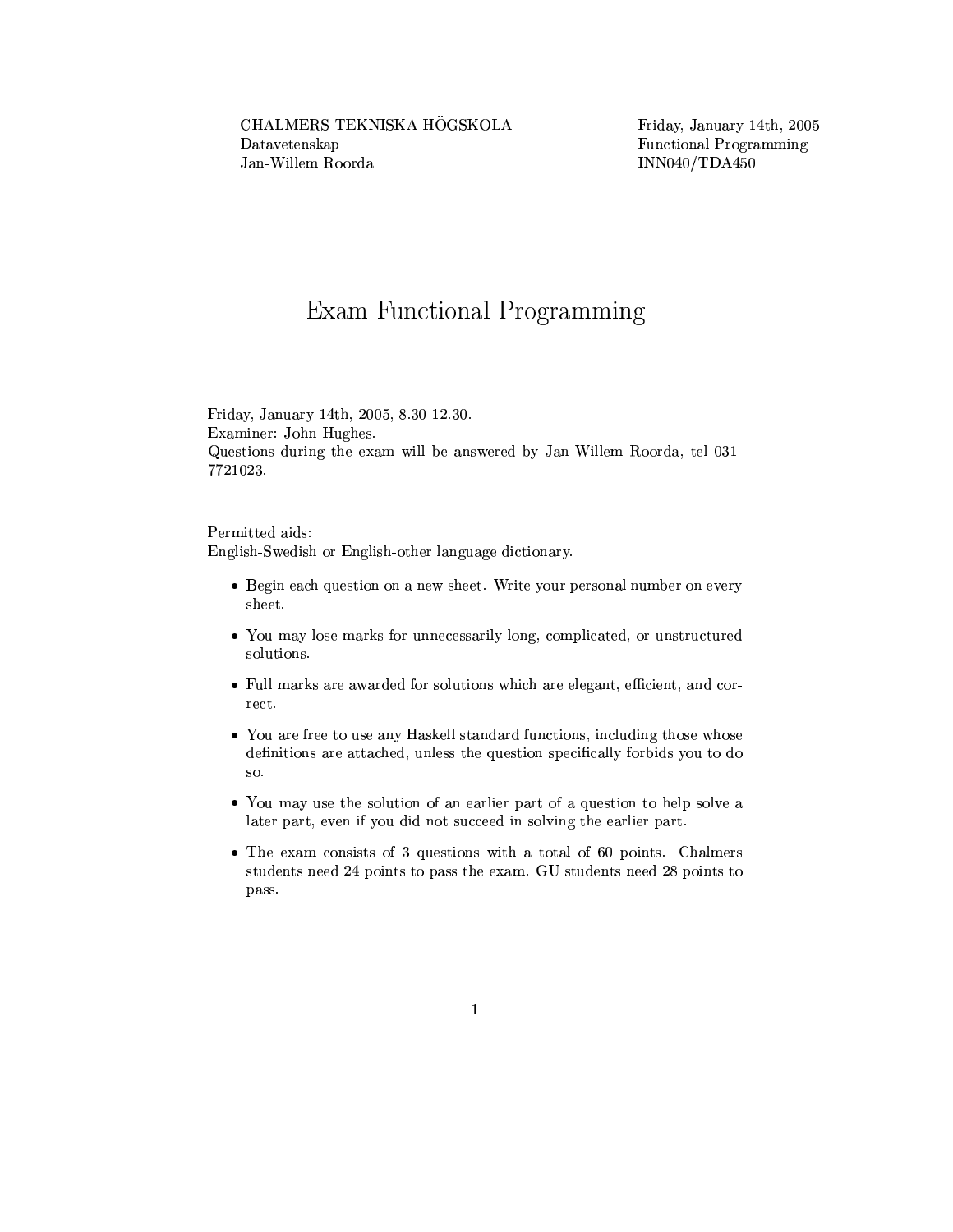## Exam Functional Programming

Friday, January 14th, 2005, 8.30-12.30. Examiner: John Hughes. Questions during the exam will be answered by Jan-Willem Roorda, tel 031-7721023.

Permitted aids: English-Swedish or English-other language dictionary.

- Begin each question on a new sheet. Write your personal number on every sheet.
- You may lose marks for unnecessarily long, complicated, or unstructured solutions.
- Full marks are awarded for solutions which are elegant, efficient, and correct.
- You are free to use any Haskell standard functions, including those whose definitions are attached, unless the question specifically forbids you to do so.
- You may use the solution of an earlier part of a question to help solve a later part, even if you did not succeed in solving the earlier part.
- $\bullet$  The exam consists of 3 questions with a total of 60 points. Chalmers students need 24 points to pass the exam. GU students need 28 points to pass.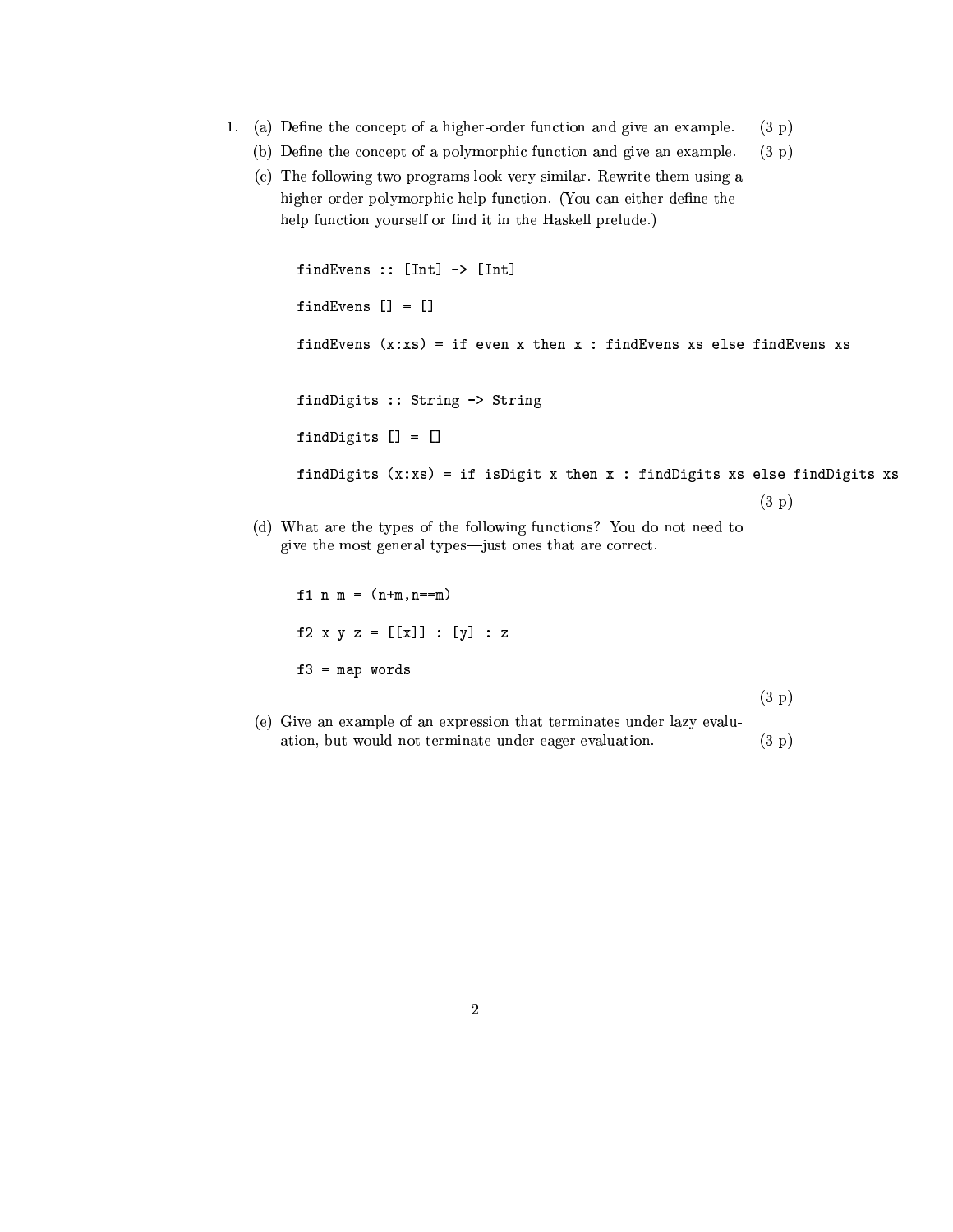- 1. (a) Define the concept of a higher-order function and give an example.  $(3 p)$ 
	- (b) Define the concept of a polymorphic function and give an example.  $(3 p)$
	- (c) The following two programs look very similar. Rewrite them using a higher-order polymorphic help function. (You can either define the help function yourself or find it in the Haskell prelude.)

```
findEvens :: [Int] -> [Int]
findEvens [] = []findEvens (x:xs) = if even x then x : findEvents xs else findEvents xsfindDigits :: String -> String
findDigits [] = []findDigits (x:xs) = if isDigit x then x : findDigits xs else findDigits xs(3 p)
```
(d) What are the types of the following functions? You do not need to give the most general types—just ones that are correct.

f 1 n m =  $(n+m, n == m)$ f2 x y z =  $[[x]] : [y] : z$  $f3 = map words$ 

 $(3 p)$ 

(e) Give an example of an expression that terminates under lazy evaluation, but would not terminate under eager evaluation.  $(3 p)$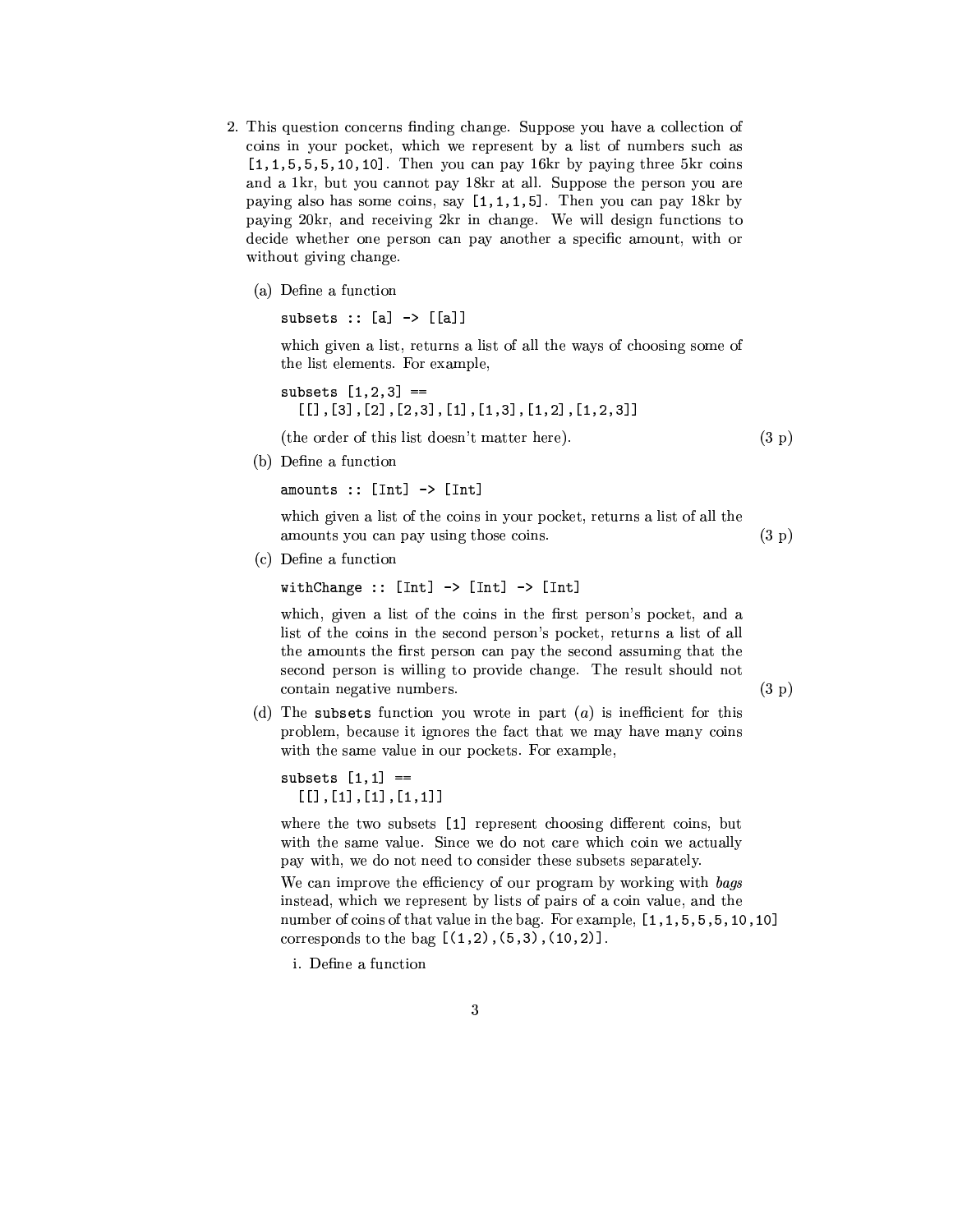- 2. This question concerns finding change. Suppose you have a collection of coins in your pocket, which we represent by a list of numbers such as  $[1,1,5,5,5,10,10]$ . Then you can pay 16kr by paying three 5kr coins and a 1kr, but you cannot pay 18kr at all. Suppose the person you are paying also has some coins, say  $[1,1,1,5]$ . Then you can pay 18kr by paying 20kr, and receiving 2kr in change. We will design functions to decide whether one person can pay another a specific amount, with or without giving change.
	- (a) Define a function

subsets  $: [a] \rightarrow [[a]]$ 

which given a list, returns a list of all the ways of choosing some of the list elements. For example,

subsets  $[1, 2, 3] ==$  $[1, 3], [2], [2, 3], [1], [1, 3], [1, 2], [1, 2, 3]$ 

(the order of this list doesn't matter here).

$$
(3 \; \mathrm{p})
$$

(b) Define a function

amounts ::  $[Int]$  ->  $[Int]$ 

which given a list of the coins in your pocket, returns a list of all the amounts you can pay using those coins.  $(3 p)$ 

(c) Define a function

withChange ::  $[Int] \rightarrow [Int] \rightarrow [Int]$ 

which, given a list of the coins in the first person's pocket, and a list of the coins in the second person's pocket, returns a list of all the amounts the first person can pay the second assuming that the second person is willing to provide change. The result should not contain negative numbers.

 $(3 p)$ 

(d) The subsets function you wrote in part  $(a)$  is inefficient for this problem, because it ignores the fact that we may have many coins with the same value in our pockets. For example,

```
subsets [1,1] ==[[] , [1], [1], [1,1]]
```
where the two subsets [1] represent choosing different coins, but with the same value. Since we do not care which coin we actually pay with, we do not need to consider these subsets separately. We can improve the efficiency of our program by working with bags instead, which we represent by lists of pairs of a coin value, and the number of coins of that value in the bag. For example, [1, 1, 5, 5, 5, 10, 10] corresponds to the bag  $[(1,2), (5,3), (10,2)].$ 

*i*. Define a function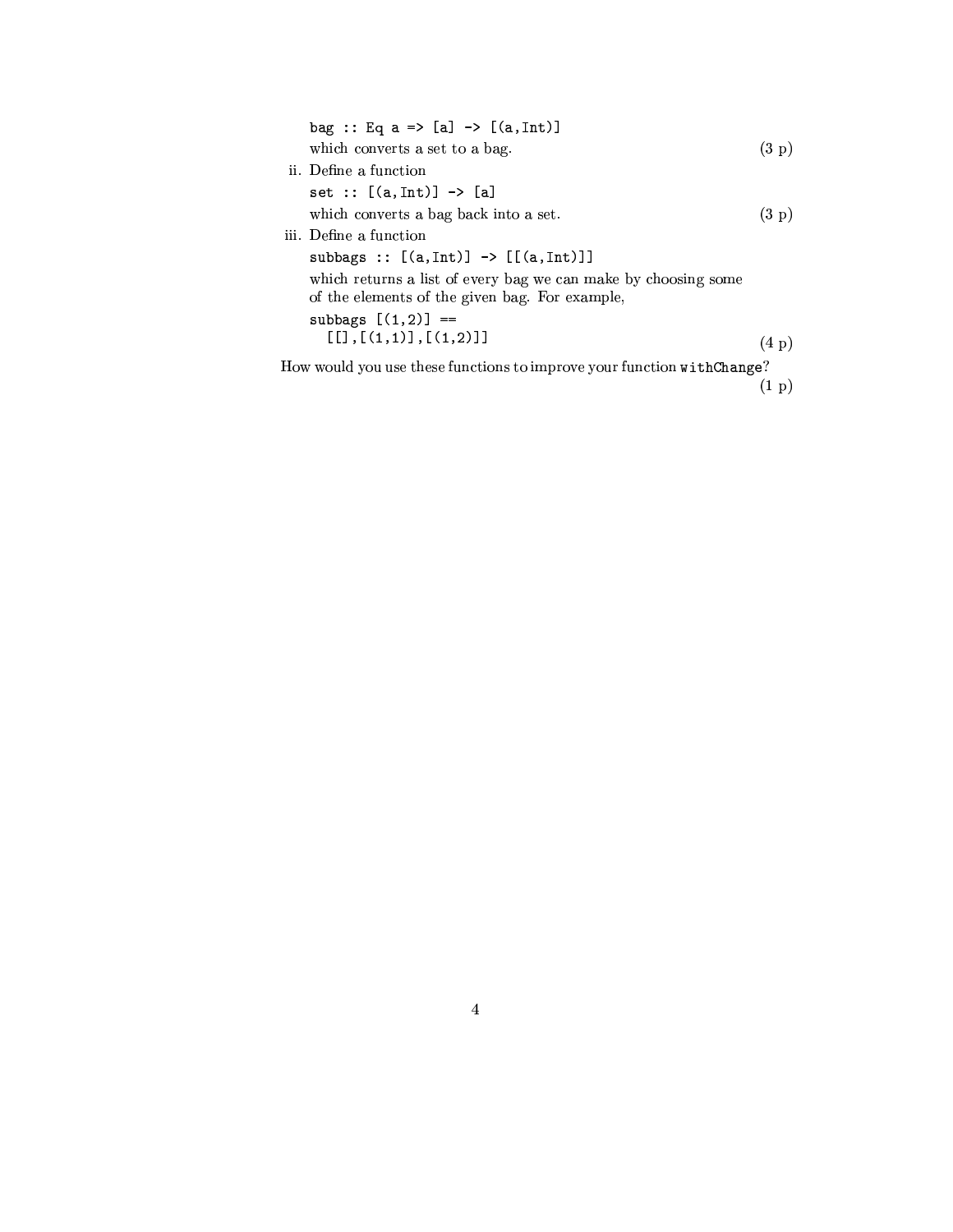| bag :: Eq a => [a] -> [(a, Int)]                                                                                 |       |
|------------------------------------------------------------------------------------------------------------------|-------|
| which converts a set to a bag.                                                                                   | (3 p) |
| ii. Define a function                                                                                            |       |
| set :: $[(a, Int)] \rightarrow [a]$                                                                              |       |
| which converts a bag back into a set.                                                                            | (3 p) |
| iii. Define a function                                                                                           |       |
| subbags :: $[(a, Int)] \rightarrow [[(a, Int)]]$                                                                 |       |
| which returns a list of every bag we can make by choosing some<br>of the elements of the given bag. For example, |       |
| subbags $[(1,2)] ==$<br>[[1], [ (1,1) ], [ (1,2) ]]                                                              | (4 p) |
|                                                                                                                  |       |

How would you use these functions to improve your function withChange?

 $(1 p)$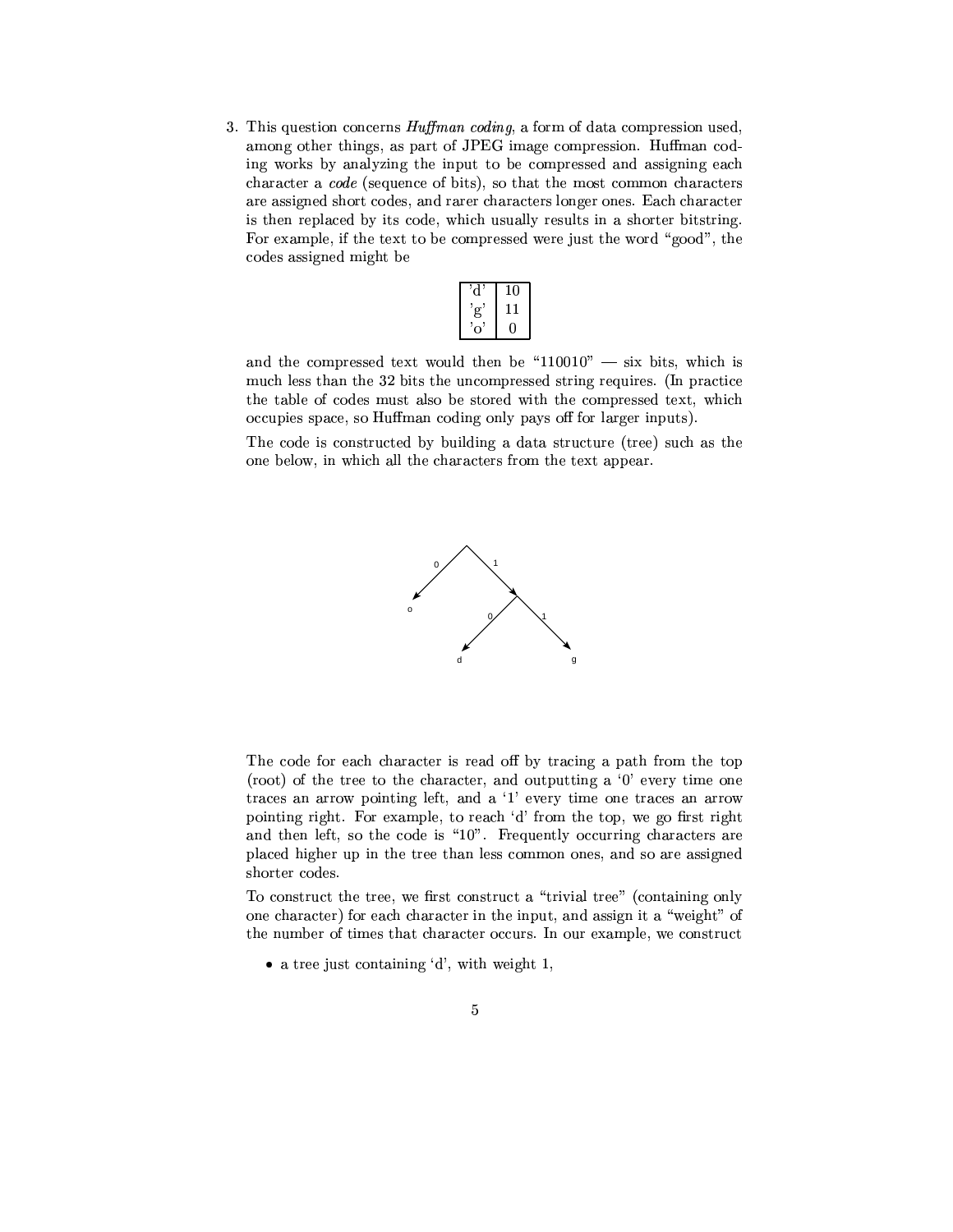3. This question concerns *Huffman coding*, a form of data compression used, among other things, as part of JPEG image compression. Huffman coding works by analyzing the input to be compressed and assigning each character a *code* (sequence of bits), so that the most common characters are assigned short codes, and rarer characters longer ones. Each character is then replaced by its code, which usually results in a shorter bitstring. For example, if the text to be compressed were just the word "good", the codes assigned might be

| o             | 10 |
|---------------|----|
| $\mathbf{g'}$ |    |
| ,7            |    |

and the compressed text would then be "110010"  $-$  six bits, which is much less than the 32 bits the uncompressed string requires. (In practice the table of codes must also be stored with the compressed text, which occupies space, so Huffman coding only pays off for larger inputs).

The code is constructed by building a data structure (tree) such as the one below, in which all the characters from the text appear.



The code for each character is read off by tracing a path from the top (root) of the tree to the character, and outputting a  $0'$  every time one traces an arrow pointing left, and a '1' every time one traces an arrow pointing right. For example, to reach 'd' from the top, we go first right and then left, so the code is "10". Frequently occurring characters are placed higher up in the tree than less common ones, and so are assigned shorter codes.

To construct the tree, we first construct a "trivial tree" (containing only one character) for each character in the input, and assign it a "weight" of the number of times that character occurs. In our example, we construct

• a tree just containing  $d'$ , with weight 1,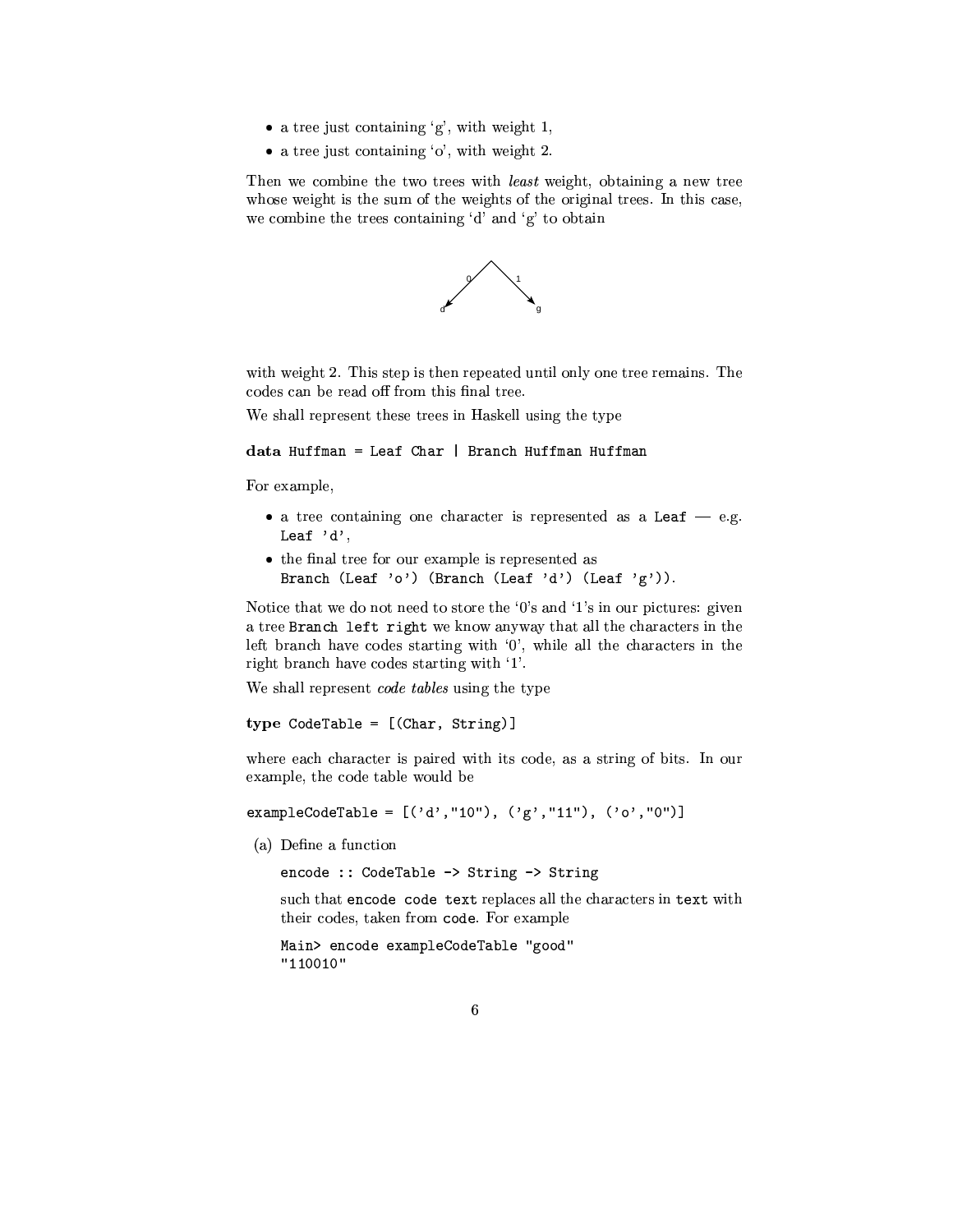- $\bullet$  a tree just containing 'g', with weight 1,
- $\bullet$  a tree just containing 'o', with weight 2.

Then we combine the two trees with *least* weight, obtaining a new tree whose weight is the sum of the weights of the original trees. In this case, we combine the trees containing 'd' and 'g' to obtain



with weight 2. This step is then repeated until only one tree remains. The codes can be read off from this final tree.

We shall represent these trees in Haskell using the type

data Huffman = Leaf Char | Branch Huffman Huffman

For example,

- a tree containing one character is represented as a Leaf  $-$  e.g. Leaf 'd',
- the final tree for our example is represented as Branch (Leaf 'o') (Branch (Leaf 'd') (Leaf 'g')).

Notice that we do not need to store the '0's and '1's in our pictures: given a tree Branch left right we know anyway that all the characters in the left branch have codes starting with '0', while all the characters in the right branch have codes starting with '1'.

We shall represent *code tables* using the type

type  $\text{CodeTable} = [(\text{Char}, \text{String})]$ 

where each character is paired with its code, as a string of bits. In our example, the code table would be

exampleCodeTable =  $[('d', "10"), ('g', "11"), ('o', "0")]$ 

(a) Define a function

encode :: CodeTable -> String -> String

such that encode code text replaces all the characters in text with their codes, taken from code. For example

Main> encode exampleCodeTable "good"  $"110010"$